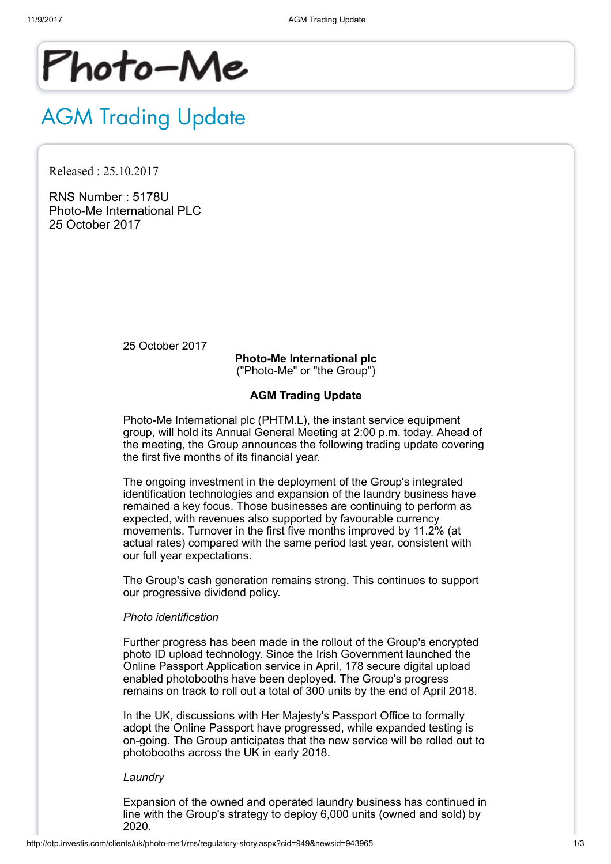

# AGM Trading Update

Released : 25.10.2017

RNS Number : 5178U Photo-Me International PLC 25 October 2017

25 October 2017

Photo-Me International plc ("Photo-Me" or "the Group")

# AGM Trading Update

Photo-Me International plc (PHTM.L), the instant service equipment group, will hold its Annual General Meeting at 2:00 p.m. today. Ahead of the meeting, the Group announces the following trading update covering the first five months of its financial year.

The ongoing investment in the deployment of the Group's integrated identification technologies and expansion of the laundry business have remained a key focus. Those businesses are continuing to perform as expected, with revenues also supported by favourable currency movements. Turnover in the first five months improved by 11.2% (at actual rates) compared with the same period last year, consistent with our full year expectations.

The Group's cash generation remains strong. This continues to support our progressive dividend policy.

# Photo identification

Further progress has been made in the rollout of the Group's encrypted photo ID upload technology. Since the Irish Government launched the Online Passport Application service in April, 178 secure digital upload enabled photobooths have been deployed. The Group's progress remains on track to roll out a total of 300 units by the end of April 2018.

In the UK, discussions with Her Majesty's Passport Office to formally adopt the Online Passport have progressed, while expanded testing is on-going. The Group anticipates that the new service will be rolled out to photobooths across the UK in early 2018.

#### Laundry

Expansion of the owned and operated laundry business has continued in line with the Group's strategy to deploy 6,000 units (owned and sold) by 2020.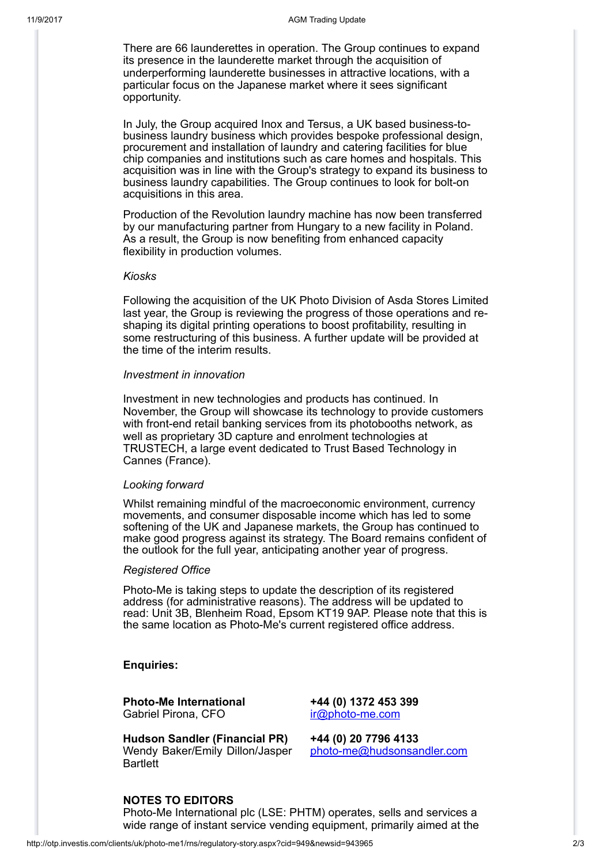There are 66 launderettes in operation. The Group continues to expand its presence in the launderette market through the acquisition of underperforming launderette businesses in attractive locations, with a particular focus on the Japanese market where it sees significant opportunity.

In July, the Group acquired Inox and Tersus, a UK based business-tobusiness laundry business which provides bespoke professional design, procurement and installation of laundry and catering facilities for blue chip companies and institutions such as care homes and hospitals. This acquisition was in line with the Group's strategy to expand its business to business laundry capabilities. The Group continues to look for bolt-on acquisitions in this area.

Production of the Revolution laundry machine has now been transferred by our manufacturing partner from Hungary to a new facility in Poland. As a result, the Group is now benefiting from enhanced capacity flexibility in production volumes.

## Kiosks

Following the acquisition of the UK Photo Division of Asda Stores Limited last year, the Group is reviewing the progress of those operations and reshaping its digital printing operations to boost profitability, resulting in some restructuring of this business. A further update will be provided at the time of the interim results.

#### Investment in innovation

Investment in new technologies and products has continued. In November, the Group will showcase its technology to provide customers with front-end retail banking services from its photobooths network, as well as proprietary 3D capture and enrolment technologies at TRUSTECH, a large event dedicated to Trust Based Technology in Cannes (France).

## Looking forward

Whilst remaining mindful of the macroeconomic environment, currency movements, and consumer disposable income which has led to some softening of the UK and Japanese markets, the Group has continued to make good progress against its strategy. The Board remains confident of the outlook for the full year, anticipating another year of progress.

#### Registered Office

Photo-Me is taking steps to update the description of its registered address (for administrative reasons). The address will be updated to read: Unit 3B, Blenheim Road, Epsom KT19 9AP. Please note that this is the same location as Photo-Me's current registered office address.

## Enquiries:

Photo-Me International +44 (0) 1372 453 399 Gabriel Pirona, CFO irm irm irm irm irm irm irm irm in the com-

Hudson Sandler (Financial PR) +44 (0) 20 7796 4133 Wendy Baker/Emily Dillon/Jasper **Bartlett** 

[photo-me@hudsonsandler.com](mailto:photo-me@hudsonsandler.com)

# NOTES TO EDITORS

Photo-Me International plc (LSE: PHTM) operates, sells and services a wide range of instant service vending equipment, primarily aimed at the